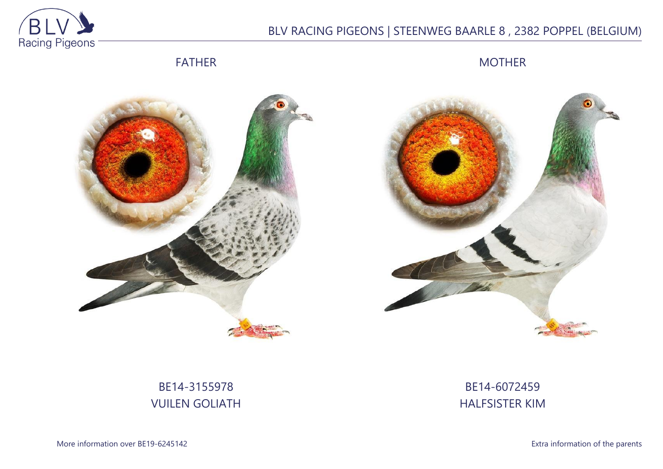

## BLV RACING PIGEONS | STEENWEG BAARLE 8 , 2382 POPPEL (BELGIUM)

FATHER

MOTHER





# BE14-3155978 VUILEN GOLIATH

BE14-6072459 HALFSISTER KIM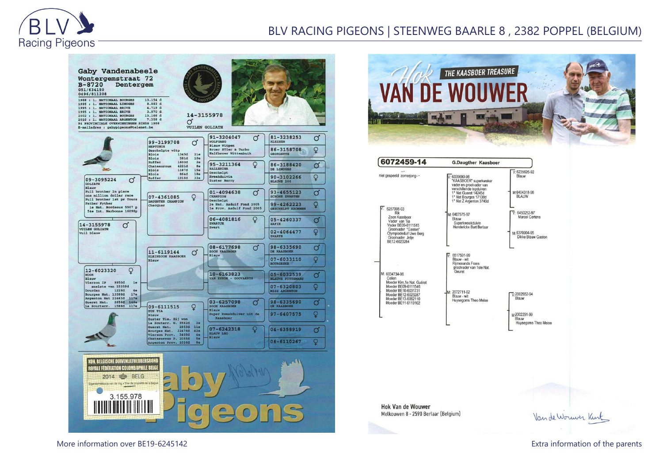

### BLV RACING PIGEONS | STEENWEG BAARLE 8 , 2382 POPPEL (BELGIUM)







**Hok Van de Wouwer** Melkouwen 8 - 2590 Berlaar (Belgium)

Van de Worwer Kint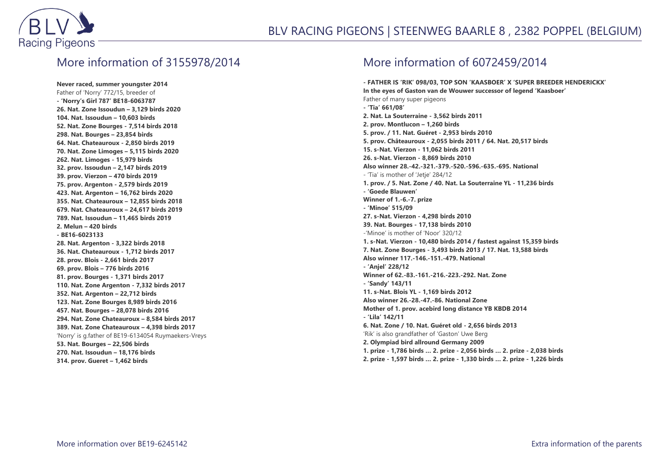

#### More information of 3155978/2014

**Never raced, summer youngster 2014** Father of 'Norry' 772/15, breeder of **- 'Norry's Girl 787' BE18-6063787 26. Nat. Zone Issoudun – 3,129 birds 2020 104. Nat. Issoudun – 10,603 birds 52. Nat. Zone Bourges - 7,514 birds 2018 298. Nat. Bourges – 23,854 birds 64. Nat. Chateauroux - 2,850 birds 2019 70. Nat. Zone Limoges – 5,115 birds 2020 262. Nat. Limoges - 15,979 birds 32. prov. Issoudun – 2,147 birds 2019 39. prov. Vierzon – 470 birds 2019 75. prov. Argenton - 2,579 birds 2019 423. Nat. Argenton – 16,762 birds 2020 355. Nat. Chateauroux – 12,855 birds 2018 679. Nat. Chateauroux – 24,617 birds 2019 789. Nat. Issoudun – 11,465 birds 2019 2. Melun – 420 birds - BE16-6023133 28. Nat. Argenton - 3,322 birds 2018 36. Nat. Chateauroux - 1,712 birds 2017 28. prov. Blois - 2,661 birds 2017 69. prov. Blois – 776 birds 2016 81. prov. Bourges - 1,371 birds 2017 110. Nat. Zone Argenton - 7,332 birds 2017 352. Nat. Argenton – 22,712 birds 123. Nat. Zone Bourges 8,989 birds 2016 457. Nat. Bourges – 28,078 birds 2016 294. Nat. Zone Chateauroux – 8,584 birds 2017 389. Nat. Zone Chateauroux – 4,398 birds 2017** 'Norry' is g.father of BE19-6134054 Ruymaekers-Vreys **53. Nat. Bourges – 22,506 birds 270. Nat. Issoudun – 18,176 birds 314. prov. Gueret – 1,462 birds**

### More information of 6072459/2014

**- FATHER IS 'RIK' 098/03, TOP SON 'KAASBOER' X 'SUPER BREEDER HENDERICKX' In the eyes of Gaston van de Wouwer successor of legend 'Kaasboer'** Father of many super pigeons **- 'Tia' 661/08' 2. Nat. La Souterraine - 3,562 birds 2011 2. prov. Montlucon – 1,260 birds 5. prov. / 11. Nat. Guéret - 2,953 birds 2010 5. prov. Châteauroux - 2,055 birds 2011 / 64. Nat. 20,517 birds 15. s-Nat. Vierzon - 11,062 birds 2011 26. s-Nat. Vierzon - 8,869 birds 2010 Also winner 28.-42.-321.-379.-520.-596.-635.-695. National** - 'Tia' is mother of 'Jetje' 284/12 **1. prov. / 5. Nat. Zone / 40. Nat. La Souterraine YL - 11,236 birds - 'Goede Blauwen' Winner of 1.-6.-7. prize - 'Minoe' 515/09 27. s-Nat. Vierzon - 4,298 birds 2010 39. Nat. Bourges - 17,138 birds 2010** -'Minoe' is mother of 'Noor' 320/12 **1. s-Nat. Vierzon - 10,480 birds 2014 / fastest against 15,359 birds 7. Nat. Zone Bourges - 3,493 birds 2013 / 17. Nat. 13,588 birds Also winner 117.-146.-151.-479. National - 'Anjel' 228/12 Winner of 62.-83.-161.-216.-223.-292. Nat. Zone - 'Sandy' 143/11 11. s-Nat. Blois YL - 1,169 birds 2012 Also winner 26.-28.-47.-86. National Zone Mother of 1. prov. acebird long distance YB KBDB 2014 - 'Lila' 142/11 6. Nat. Zone / 10. Nat. Guéret old - 2,656 birds 2013** 'Rik' is also grandfather of 'Gaston' Uwe Berg **2. Olympiad bird allround Germany 2009 1. prize - 1,786 birds … 2. prize - 2,056 birds … 2. prize - 2,038 birds 2. prize - 1,597 birds … 2. prize - 1,330 birds … 2. prize - 1,226 birds**